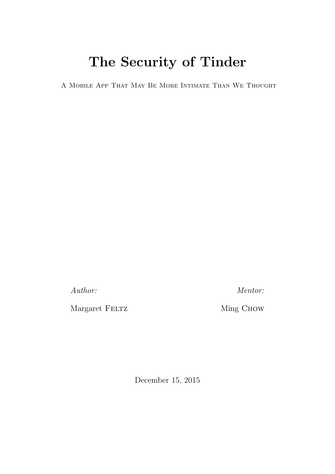# The Security of Tinder

A Mobile App That May Be More Intimate Than We Thought

Author:

Margaret  ${\rm FELTZ}$ 

Mentor:

Ming CHOW

December 15, 2015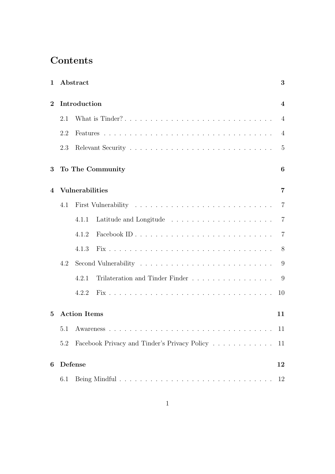# **Contents**

| $\mathbf{1}$   |     | Abstract                                                                             | 3              |
|----------------|-----|--------------------------------------------------------------------------------------|----------------|
| $\bf{2}$       |     | Introduction                                                                         | 4              |
|                | 2.1 | What is Tinder?                                                                      | $\overline{4}$ |
|                | 2.2 |                                                                                      | $\overline{4}$ |
|                | 2.3 |                                                                                      | $\overline{5}$ |
| 3              |     | To The Community                                                                     | 6              |
| $\overline{4}$ |     | <b>Vulnerabilities</b>                                                               | $\overline{7}$ |
|                | 4.1 |                                                                                      | $\overline{7}$ |
|                |     | Latitude and Longitude $\ldots \ldots \ldots \ldots \ldots \ldots \ldots 7$<br>4.1.1 |                |
|                |     | 4.1.2                                                                                | $\overline{7}$ |
|                |     | 4.1.3                                                                                | 8 <sup>8</sup> |
|                | 4.2 |                                                                                      | 9              |
|                |     | Trilateration and Tinder Finder<br>4.2.1                                             | $\overline{9}$ |
|                |     | 4.2.2                                                                                | 10             |
| $\mathbf{5}$   |     | <b>Action Items</b>                                                                  | 11             |
|                | 5.1 |                                                                                      | 11             |
|                | 5.2 | Facebook Privacy and Tinder's Privacy Policy                                         | 11             |
| 6              |     | Defense                                                                              | 12             |
|                | 6.1 |                                                                                      | 12             |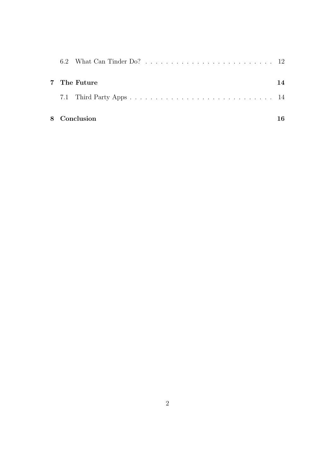|  | 7 The Future | 14 |
|--|--------------|----|
|  |              |    |
|  | 8 Conclusion |    |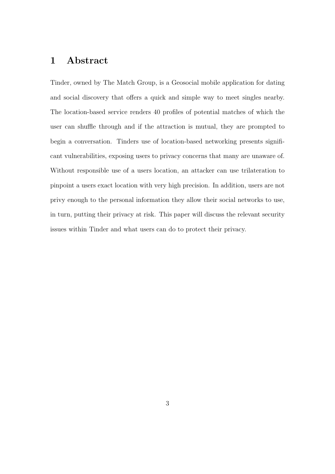### 1 Abstract

Tinder, owned by The Match Group, is a Geosocial mobile application for dating and social discovery that offers a quick and simple way to meet singles nearby. The location-based service renders 40 profiles of potential matches of which the user can shuffle through and if the attraction is mutual, they are prompted to begin a conversation. Tinders use of location-based networking presents significant vulnerabilities, exposing users to privacy concerns that many are unaware of. Without responsible use of a users location, an attacker can use trilateration to pinpoint a users exact location with very high precision. In addition, users are not privy enough to the personal information they allow their social networks to use, in turn, putting their privacy at risk. This paper will discuss the relevant security issues within Tinder and what users can do to protect their privacy.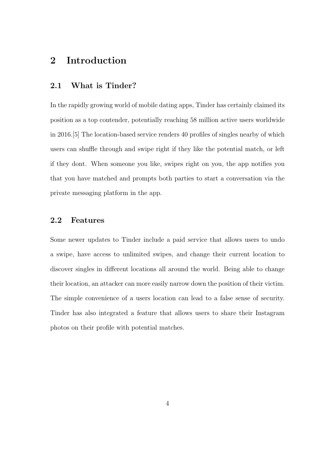### 2 Introduction

#### 2.1 What is Tinder?

In the rapidly growing world of mobile dating apps, Tinder has certainly claimed its position as a top contender, potentially reaching 58 million active users worldwide in 2016.[5] The location-based service renders 40 profiles of singles nearby of which users can shuffle through and swipe right if they like the potential match, or left if they dont. When someone you like, swipes right on you, the app notifies you that you have matched and prompts both parties to start a conversation via the private messaging platform in the app.

#### 2.2 Features

Some newer updates to Tinder include a paid service that allows users to undo a swipe, have access to unlimited swipes, and change their current location to discover singles in different locations all around the world. Being able to change their location, an attacker can more easily narrow down the position of their victim. The simple convenience of a users location can lead to a false sense of security. Tinder has also integrated a feature that allows users to share their Instagram photos on their profile with potential matches.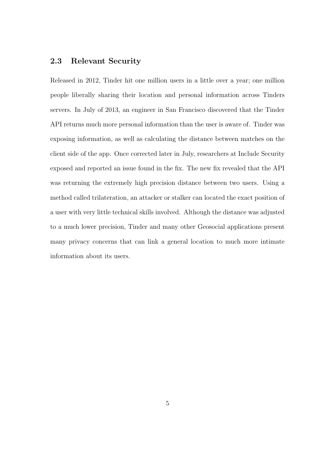#### 2.3 Relevant Security

Released in 2012, Tinder hit one million users in a little over a year; one million people liberally sharing their location and personal information across Tinders servers. In July of 2013, an engineer in San Francisco discovered that the Tinder API returns much more personal information than the user is aware of. Tinder was exposing information, as well as calculating the distance between matches on the client side of the app. Once corrected later in July, researchers at Include Security exposed and reported an issue found in the fix. The new fix revealed that the API was returning the extremely high precision distance between two users. Using a method called trilateration, an attacker or stalker can located the exact position of a user with very little technical skills involved. Although the distance was adjusted to a much lower precision, Tinder and many other Geosocial applications present many privacy concerns that can link a general location to much more intimate information about its users.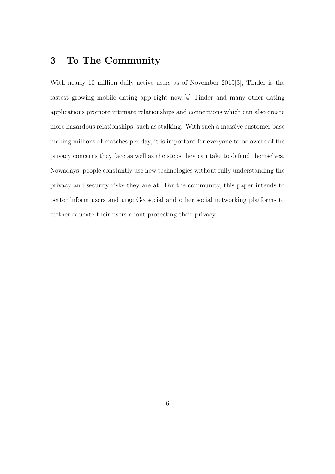## 3 To The Community

With nearly 10 million daily active users as of November 2015[3], Tinder is the fastest growing mobile dating app right now.[4] Tinder and many other dating applications promote intimate relationships and connections which can also create more hazardous relationships, such as stalking. With such a massive customer base making millions of matches per day, it is important for everyone to be aware of the privacy concerns they face as well as the steps they can take to defend themselves. Nowadays, people constantly use new technologies without fully understanding the privacy and security risks they are at. For the community, this paper intends to better inform users and urge Geosocial and other social networking platforms to further educate their users about protecting their privacy.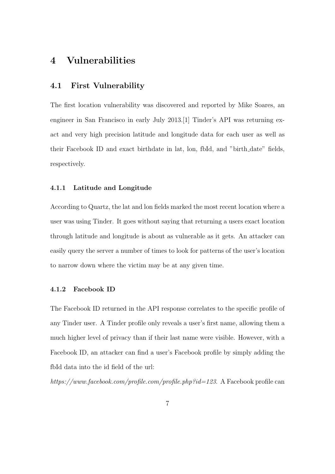### 4 Vulnerabilities

#### 4.1 First Vulnerability

The first location vulnerability was discovered and reported by Mike Soares, an engineer in San Francisco in early July 2013.[1] Tinder's API was returning exact and very high precision latitude and longitude data for each user as well as their Facebook ID and exact birthdate in lat, lon, fbId, and "birth date" fields, respectively.

#### 4.1.1 Latitude and Longitude

According to Quartz, the lat and lon fields marked the most recent location where a user was using Tinder. It goes without saying that returning a users exact location through latitude and longitude is about as vulnerable as it gets. An attacker can easily query the server a number of times to look for patterns of the user's location to narrow down where the victim may be at any given time.

#### 4.1.2 Facebook ID

The Facebook ID returned in the API response correlates to the specific profile of any Tinder user. A Tinder profile only reveals a user's first name, allowing them a much higher level of privacy than if their last name were visible. However, with a Facebook ID, an attacker can find a user's Facebook profile by simply adding the fbId data into the id field of the url:

https://www.facebook.com/profile.com/profile.php?id=123. A Facebook profile can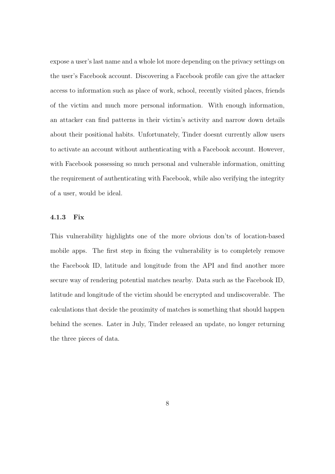expose a user's last name and a whole lot more depending on the privacy settings on the user's Facebook account. Discovering a Facebook profile can give the attacker access to information such as place of work, school, recently visited places, friends of the victim and much more personal information. With enough information, an attacker can find patterns in their victim's activity and narrow down details about their positional habits. Unfortunately, Tinder doesnt currently allow users to activate an account without authenticating with a Facebook account. However, with Facebook possessing so much personal and vulnerable information, omitting the requirement of authenticating with Facebook, while also verifying the integrity of a user, would be ideal.

#### 4.1.3 Fix

This vulnerability highlights one of the more obvious don'ts of location-based mobile apps. The first step in fixing the vulnerability is to completely remove the Facebook ID, latitude and longitude from the API and find another more secure way of rendering potential matches nearby. Data such as the Facebook ID, latitude and longitude of the victim should be encrypted and undiscoverable. The calculations that decide the proximity of matches is something that should happen behind the scenes. Later in July, Tinder released an update, no longer returning the three pieces of data.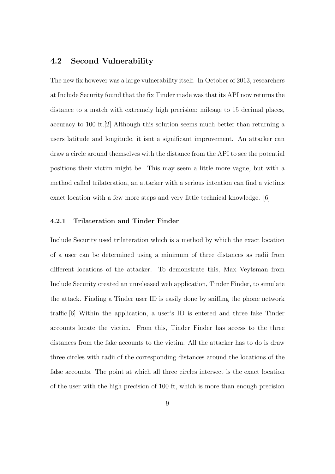#### 4.2 Second Vulnerability

The new fix however was a large vulnerability itself. In October of 2013, researchers at Include Security found that the fix Tinder made was that its API now returns the distance to a match with extremely high precision; mileage to 15 decimal places, accuracy to 100 ft.[2] Although this solution seems much better than returning a users latitude and longitude, it isnt a significant improvement. An attacker can draw a circle around themselves with the distance from the API to see the potential positions their victim might be. This may seem a little more vague, but with a method called trilateration, an attacker with a serious intention can find a victims exact location with a few more steps and very little technical knowledge. [6]

#### 4.2.1 Trilateration and Tinder Finder

Include Security used trilateration which is a method by which the exact location of a user can be determined using a minimum of three distances as radii from different locations of the attacker. To demonstrate this, Max Veytsman from Include Security created an unreleased web application, Tinder Finder, to simulate the attack. Finding a Tinder user ID is easily done by sniffing the phone network traffic.[6] Within the application, a user's ID is entered and three fake Tinder accounts locate the victim. From this, Tinder Finder has access to the three distances from the fake accounts to the victim. All the attacker has to do is draw three circles with radii of the corresponding distances around the locations of the false accounts. The point at which all three circles intersect is the exact location of the user with the high precision of 100 ft, which is more than enough precision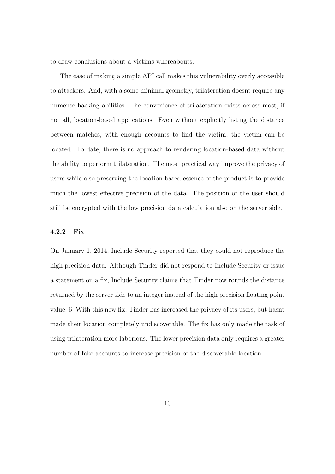to draw conclusions about a victims whereabouts.

The ease of making a simple API call makes this vulnerability overly accessible to attackers. And, with a some minimal geometry, trilateration doesnt require any immense hacking abilities. The convenience of trilateration exists across most, if not all, location-based applications. Even without explicitly listing the distance between matches, with enough accounts to find the victim, the victim can be located. To date, there is no approach to rendering location-based data without the ability to perform trilateration. The most practical way improve the privacy of users while also preserving the location-based essence of the product is to provide much the lowest effective precision of the data. The position of the user should still be encrypted with the low precision data calculation also on the server side.

#### 4.2.2 Fix

On January 1, 2014, Include Security reported that they could not reproduce the high precision data. Although Tinder did not respond to Include Security or issue a statement on a fix, Include Security claims that Tinder now rounds the distance returned by the server side to an integer instead of the high precision floating point value.[6] With this new fix, Tinder has increased the privacy of its users, but hasnt made their location completely undiscoverable. The fix has only made the task of using trilateration more laborious. The lower precision data only requires a greater number of fake accounts to increase precision of the discoverable location.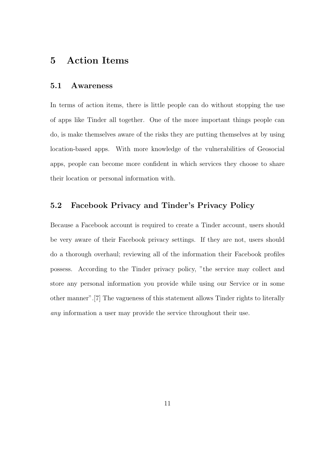### 5 Action Items

#### 5.1 Awareness

In terms of action items, there is little people can do without stopping the use of apps like Tinder all together. One of the more important things people can do, is make themselves aware of the risks they are putting themselves at by using location-based apps. With more knowledge of the vulnerabilities of Geosocial apps, people can become more confident in which services they choose to share their location or personal information with.

#### 5.2 Facebook Privacy and Tinder's Privacy Policy

Because a Facebook account is required to create a Tinder account, users should be very aware of their Facebook privacy settings. If they are not, users should do a thorough overhaul; reviewing all of the information their Facebook profiles possess. According to the Tinder privacy policy, "the service may collect and store any personal information you provide while using our Service or in some other manner".[7] The vagueness of this statement allows Tinder rights to literally any information a user may provide the service throughout their use.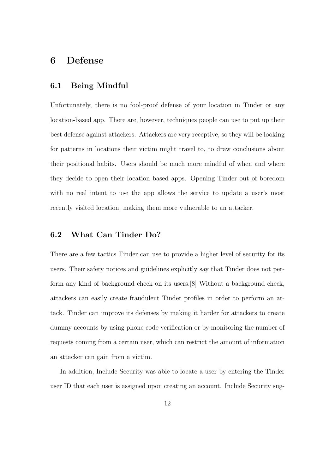### 6 Defense

#### 6.1 Being Mindful

Unfortunately, there is no fool-proof defense of your location in Tinder or any location-based app. There are, however, techniques people can use to put up their best defense against attackers. Attackers are very receptive, so they will be looking for patterns in locations their victim might travel to, to draw conclusions about their positional habits. Users should be much more mindful of when and where they decide to open their location based apps. Opening Tinder out of boredom with no real intent to use the app allows the service to update a user's most recently visited location, making them more vulnerable to an attacker.

#### 6.2 What Can Tinder Do?

There are a few tactics Tinder can use to provide a higher level of security for its users. Their safety notices and guidelines explicitly say that Tinder does not perform any kind of background check on its users.[8] Without a background check, attackers can easily create fraudulent Tinder profiles in order to perform an attack. Tinder can improve its defenses by making it harder for attackers to create dummy accounts by using phone code verification or by monitoring the number of requests coming from a certain user, which can restrict the amount of information an attacker can gain from a victim.

In addition, Include Security was able to locate a user by entering the Tinder user ID that each user is assigned upon creating an account. Include Security sug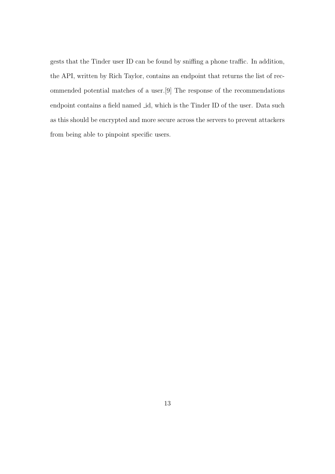gests that the Tinder user ID can be found by sniffing a phone traffic. In addition, the API, written by Rich Taylor, contains an endpoint that returns the list of recommended potential matches of a user.[9] The response of the recommendations endpoint contains a field named *id*, which is the Tinder ID of the user. Data such as this should be encrypted and more secure across the servers to prevent attackers from being able to pinpoint specific users.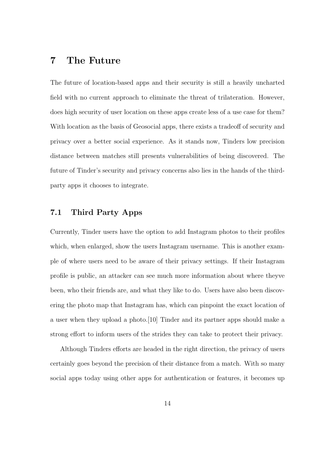### 7 The Future

The future of location-based apps and their security is still a heavily uncharted field with no current approach to eliminate the threat of trilateration. However, does high security of user location on these apps create less of a use case for them? With location as the basis of Geosocial apps, there exists a tradeoff of security and privacy over a better social experience. As it stands now, Tinders low precision distance between matches still presents vulnerabilities of being discovered. The future of Tinder's security and privacy concerns also lies in the hands of the thirdparty apps it chooses to integrate.

#### 7.1 Third Party Apps

Currently, Tinder users have the option to add Instagram photos to their profiles which, when enlarged, show the users Instagram username. This is another example of where users need to be aware of their privacy settings. If their Instagram profile is public, an attacker can see much more information about where theyve been, who their friends are, and what they like to do. Users have also been discovering the photo map that Instagram has, which can pinpoint the exact location of a user when they upload a photo.[10] Tinder and its partner apps should make a strong effort to inform users of the strides they can take to protect their privacy.

Although Tinders efforts are headed in the right direction, the privacy of users certainly goes beyond the precision of their distance from a match. With so many social apps today using other apps for authentication or features, it becomes up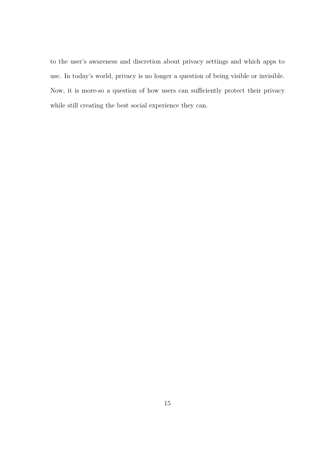to the user's awareness and discretion about privacy settings and which apps to use. In today's world, privacy is no longer a question of being visible or invisible. Now, it is more-so a question of how users can sufficiently protect their privacy while still creating the best social experience they can.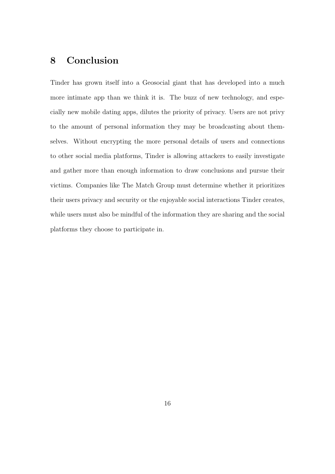### 8 Conclusion

Tinder has grown itself into a Geosocial giant that has developed into a much more intimate app than we think it is. The buzz of new technology, and especially new mobile dating apps, dilutes the priority of privacy. Users are not privy to the amount of personal information they may be broadcasting about themselves. Without encrypting the more personal details of users and connections to other social media platforms, Tinder is allowing attackers to easily investigate and gather more than enough information to draw conclusions and pursue their victims. Companies like The Match Group must determine whether it prioritizes their users privacy and security or the enjoyable social interactions Tinder creates, while users must also be mindful of the information they are sharing and the social platforms they choose to participate in.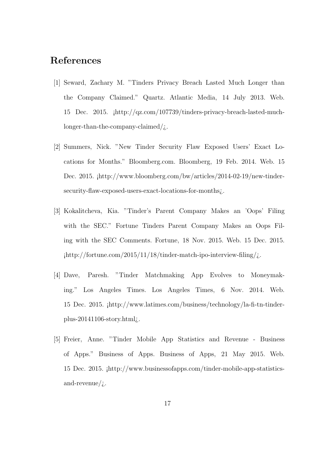### References

- [1] Seward, Zachary M. "Tinders Privacy Breach Lasted Much Longer than the Company Claimed." Quartz. Atlantic Media, 14 July 2013. Web. 15 Dec. 2015. ¡http://qz.com/107739/tinders-privacy-breach-lasted-muchlonger-than-the-company-claimed/ $\chi$ .
- [2] Summers, Nick. "New Tinder Security Flaw Exposed Users' Exact Locations for Months." Bloomberg.com. Bloomberg, 19 Feb. 2014. Web. 15 Dec. 2015. ¡http://www.bloomberg.com/bw/articles/2014-02-19/new-tindersecurity-flaw-exposed-users-exact-locations-for-months<sub>i</sub>.
- [3] Kokalitcheva, Kia. "Tinder's Parent Company Makes an 'Oops' Filing with the SEC." Fortune Tinders Parent Company Makes an Oops Filing with the SEC Comments. Fortune, 18 Nov. 2015. Web. 15 Dec. 2015.  $\frac{\text{http://fortune.com/2015/11/18/tinder-match-ipo-interview-filing/}}{2}$
- [4] Dave, Paresh. "Tinder Matchmaking App Evolves to Moneymaking." Los Angeles Times. Los Angeles Times, 6 Nov. 2014. Web. 15 Dec. 2015. ¡http://www.latimes.com/business/technology/la-fi-tn-tinderplus-20141106-story.html¿.
- [5] Freier, Anne. "Tinder Mobile App Statistics and Revenue Business of Apps." Business of Apps. Business of Apps, 21 May 2015. Web. 15 Dec. 2015. ¡http://www.businessofapps.com/tinder-mobile-app-statisticsand-revenue/ $\dot{\iota}$ .